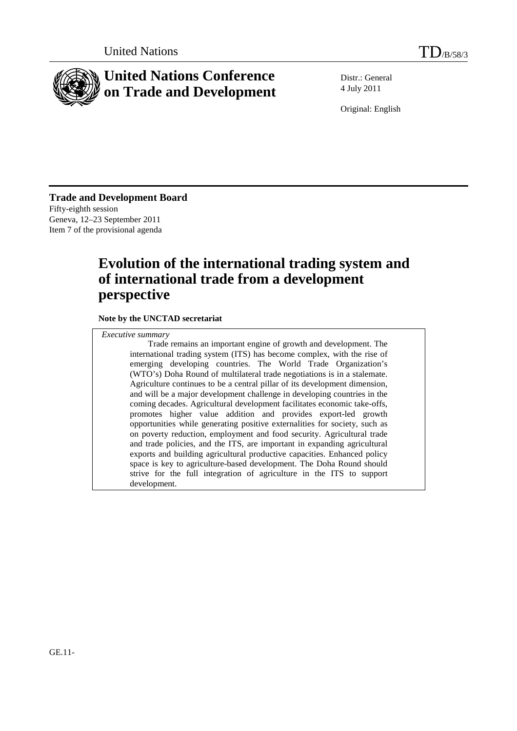

# **United Nations Conference on Trade and Development**

Distr.: General 4 July 2011

Original: English

**Trade and Development Board**  Fifty-eighth session Geneva, 12–23 September 2011 Item 7 of the provisional agenda

# **Evolution of the international trading system and of international trade from a development perspective**

**Note by the UNCTAD secretariat** 

*Executive summary*

 Trade remains an important engine of growth and development. The international trading system (ITS) has become complex, with the rise of emerging developing countries. The World Trade Organization's (WTO's) Doha Round of multilateral trade negotiations is in a stalemate. Agriculture continues to be a central pillar of its development dimension, and will be a major development challenge in developing countries in the coming decades. Agricultural development facilitates economic take-offs, promotes higher value addition and provides export-led growth opportunities while generating positive externalities for society, such as on poverty reduction, employment and food security. Agricultural trade and trade policies, and the ITS, are important in expanding agricultural exports and building agricultural productive capacities. Enhanced policy space is key to agriculture-based development. The Doha Round should strive for the full integration of agriculture in the ITS to support development.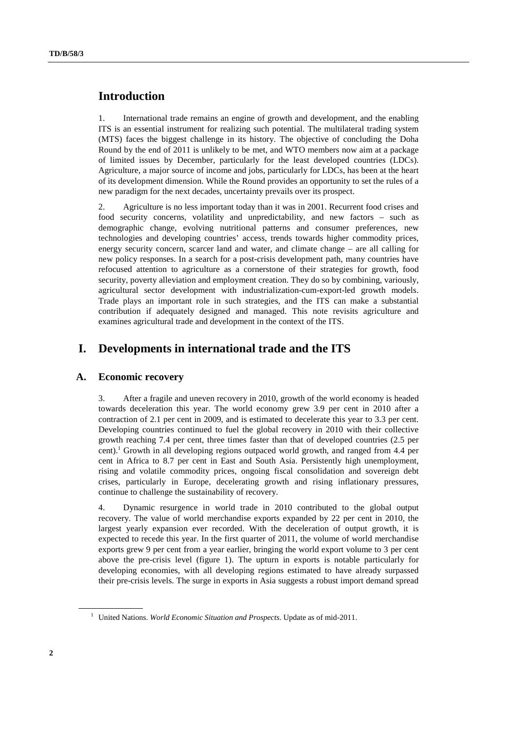# **Introduction**

1. International trade remains an engine of growth and development, and the enabling ITS is an essential instrument for realizing such potential. The multilateral trading system (MTS) faces the biggest challenge in its history. The objective of concluding the Doha Round by the end of 2011 is unlikely to be met, and WTO members now aim at a package of limited issues by December, particularly for the least developed countries (LDCs). Agriculture, a major source of income and jobs, particularly for LDCs, has been at the heart of its development dimension. While the Round provides an opportunity to set the rules of a new paradigm for the next decades, uncertainty prevails over its prospect.

2. Agriculture is no less important today than it was in 2001. Recurrent food crises and food security concerns, volatility and unpredictability, and new factors – such as demographic change, evolving nutritional patterns and consumer preferences, new technologies and developing countries' access, trends towards higher commodity prices, energy security concern, scarcer land and water, and climate change – are all calling for new policy responses. In a search for a post-crisis development path, many countries have refocused attention to agriculture as a cornerstone of their strategies for growth, food security, poverty alleviation and employment creation. They do so by combining, variously, agricultural sector development with industrialization-cum-export-led growth models. Trade plays an important role in such strategies, and the ITS can make a substantial contribution if adequately designed and managed. This note revisits agriculture and examines agricultural trade and development in the context of the ITS.

# **I. Developments in international trade and the ITS**

# **A. Economic recovery**

3. After a fragile and uneven recovery in 2010, growth of the world economy is headed towards deceleration this year. The world economy grew 3.9 per cent in 2010 after a contraction of 2.1 per cent in 2009, and is estimated to decelerate this year to 3.3 per cent. Developing countries continued to fuel the global recovery in 2010 with their collective growth reaching 7.4 per cent, three times faster than that of developed countries (2.5 per cent).<sup>1</sup> Growth in all developing regions outpaced world growth, and ranged from 4.4 per cent in Africa to 8.7 per cent in East and South Asia. Persistently high unemployment, rising and volatile commodity prices, ongoing fiscal consolidation and sovereign debt crises, particularly in Europe, decelerating growth and rising inflationary pressures, continue to challenge the sustainability of recovery.

4. Dynamic resurgence in world trade in 2010 contributed to the global output recovery. The value of world merchandise exports expanded by 22 per cent in 2010, the largest yearly expansion ever recorded. With the deceleration of output growth, it is expected to recede this year. In the first quarter of 2011, the volume of world merchandise exports grew 9 per cent from a year earlier, bringing the world export volume to 3 per cent above the pre-crisis level (figure 1). The upturn in exports is notable particularly for developing economies, with all developing regions estimated to have already surpassed their pre-crisis levels. The surge in exports in Asia suggests a robust import demand spread

<sup>&</sup>lt;sup>1</sup> United Nations. *World Economic Situation and Prospects*. Update as of mid-2011.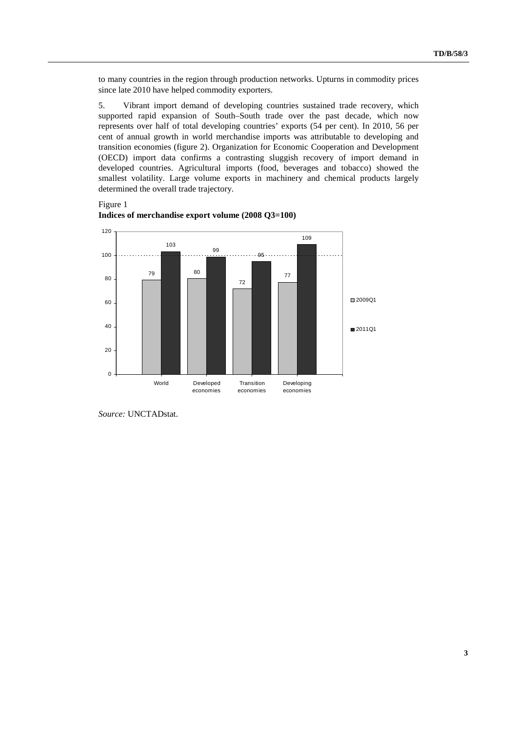to many countries in the region through production networks. Upturns in commodity prices since late 2010 have helped commodity exporters.

5. Vibrant import demand of developing countries sustained trade recovery, which supported rapid expansion of South–South trade over the past decade, which now represents over half of total developing countries' exports (54 per cent). In 2010, 56 per cent of annual growth in world merchandise imports was attributable to developing and transition economies (figure 2). Organization for Economic Cooperation and Development (OECD) import data confirms a contrasting sluggish recovery of import demand in developed countries. Agricultural imports (food, beverages and tobacco) showed the smallest volatility. Large volume exports in machinery and chemical products largely determined the overall trade trajectory.

Figure 1



**Indices of merchandise export volume (2008 Q3=100)**

*Source:* UNCTADstat.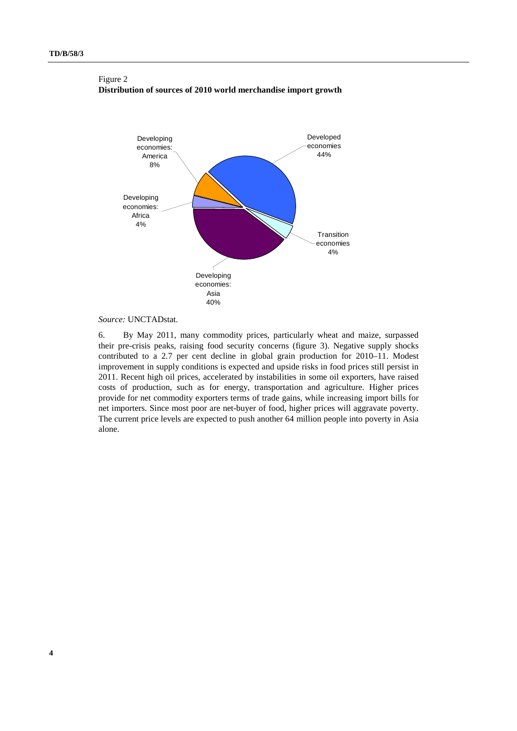## Figure 2 **Distribution of sources of 2010 world merchandise import growth**



## *Source:* UNCTADstat.

6. By May 2011, many commodity prices, particularly wheat and maize, surpassed their pre-crisis peaks, raising food security concerns (figure 3). Negative supply shocks contributed to a 2.7 per cent decline in global grain production for 2010–11. Modest improvement in supply conditions is expected and upside risks in food prices still persist in 2011. Recent high oil prices, accelerated by instabilities in some oil exporters, have raised costs of production, such as for energy, transportation and agriculture. Higher prices provide for net commodity exporters terms of trade gains, while increasing import bills for net importers. Since most poor are net-buyer of food, higher prices will aggravate poverty. The current price levels are expected to push another 64 million people into poverty in Asia alone.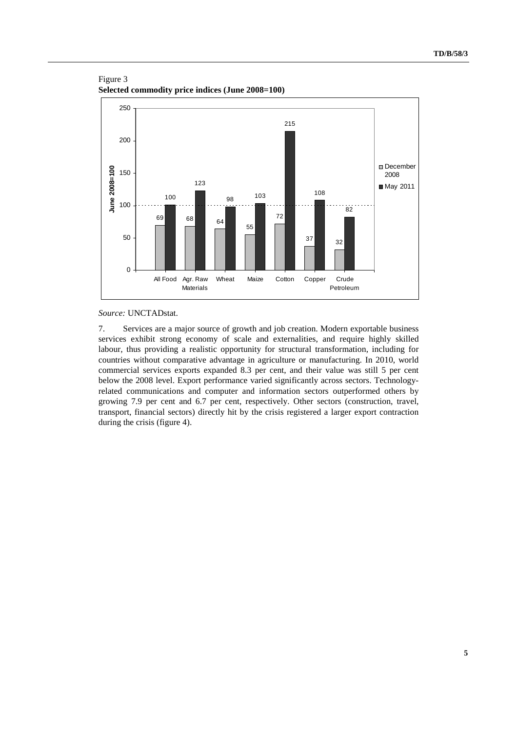



### *Source:* UNCTADstat.

7. Services are a major source of growth and job creation. Modern exportable business services exhibit strong economy of scale and externalities, and require highly skilled labour, thus providing a realistic opportunity for structural transformation, including for countries without comparative advantage in agriculture or manufacturing. In 2010, world commercial services exports expanded 8.3 per cent, and their value was still 5 per cent below the 2008 level. Export performance varied significantly across sectors. Technologyrelated communications and computer and information sectors outperformed others by growing 7.9 per cent and 6.7 per cent, respectively. Other sectors (construction, travel, transport, financial sectors) directly hit by the crisis registered a larger export contraction during the crisis (figure 4).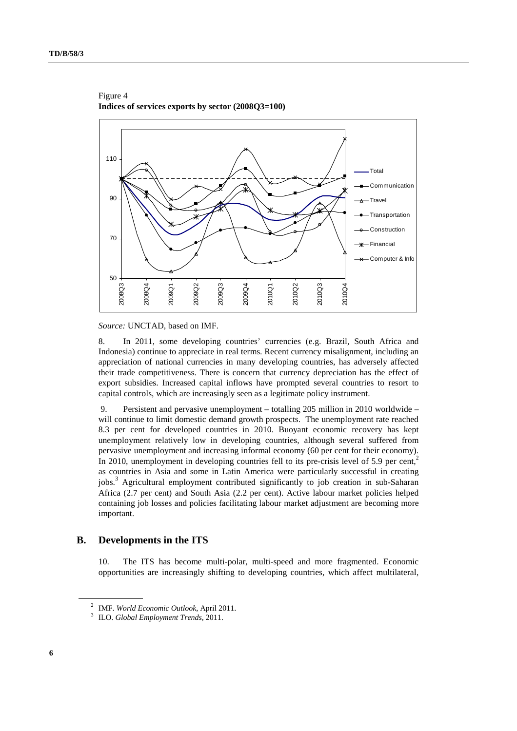

Figure 4 **Indices of services exports by sector (2008Q3=100)**

*Source:* UNCTAD, based on IMF.

8. In 2011, some developing countries' currencies (e.g. Brazil, South Africa and Indonesia) continue to appreciate in real terms. Recent currency misalignment, including an appreciation of national currencies in many developing countries, has adversely affected their trade competitiveness. There is concern that currency depreciation has the effect of export subsidies. Increased capital inflows have prompted several countries to resort to capital controls, which are increasingly seen as a legitimate policy instrument.

 9. Persistent and pervasive unemployment – totalling 205 million in 2010 worldwide – will continue to limit domestic demand growth prospects. The unemployment rate reached 8.3 per cent for developed countries in 2010. Buoyant economic recovery has kept unemployment relatively low in developing countries, although several suffered from pervasive unemployment and increasing informal economy (60 per cent for their economy). In 2010, unemployment in developing countries fell to its pre-crisis level of 5.9 per cent, $2$ as countries in Asia and some in Latin America were particularly successful in creating jobs.<sup>3</sup> Agricultural employment contributed significantly to job creation in sub-Saharan Africa (2.7 per cent) and South Asia (2.2 per cent). Active labour market policies helped containing job losses and policies facilitating labour market adjustment are becoming more important.

# **B. Developments in the ITS**

10. The ITS has become multi-polar, multi-speed and more fragmented. Economic opportunities are increasingly shifting to developing countries, which affect multilateral,

<sup>&</sup>lt;sup>2</sup> IMF. *World Economic Outlook*, April 2011.

<sup>&</sup>lt;sup>3</sup> ILO. *Global Employment Trends*, 2011.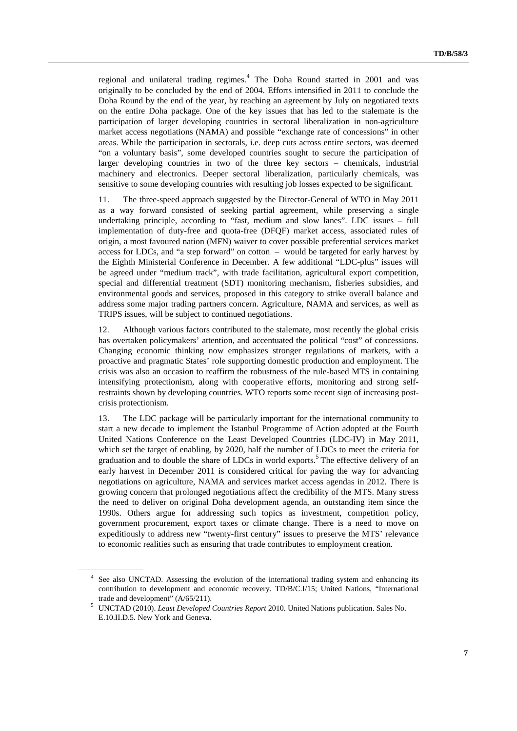regional and unilateral trading regimes.<sup>4</sup> The Doha Round started in 2001 and was originally to be concluded by the end of 2004. Efforts intensified in 2011 to conclude the Doha Round by the end of the year, by reaching an agreement by July on negotiated texts on the entire Doha package. One of the key issues that has led to the stalemate is the participation of larger developing countries in sectoral liberalization in non-agriculture market access negotiations (NAMA) and possible "exchange rate of concessions" in other areas. While the participation in sectorals, i.e. deep cuts across entire sectors, was deemed "on a voluntary basis", some developed countries sought to secure the participation of larger developing countries in two of the three key sectors – chemicals, industrial machinery and electronics. Deeper sectoral liberalization, particularly chemicals, was sensitive to some developing countries with resulting job losses expected to be significant.

11. The three-speed approach suggested by the Director-General of WTO in May 2011 as a way forward consisted of seeking partial agreement, while preserving a single undertaking principle, according to "fast, medium and slow lanes". LDC issues – full implementation of duty-free and quota-free (DFQF) market access, associated rules of origin, a most favoured nation (MFN) waiver to cover possible preferential services market access for LDCs, and "a step forward" on cotton – would be targeted for early harvest by the Eighth Ministerial Conference in December. A few additional "LDC-plus" issues will be agreed under "medium track", with trade facilitation, agricultural export competition, special and differential treatment (SDT) monitoring mechanism, fisheries subsidies, and environmental goods and services, proposed in this category to strike overall balance and address some major trading partners concern. Agriculture, NAMA and services, as well as TRIPS issues, will be subject to continued negotiations.

12. Although various factors contributed to the stalemate, most recently the global crisis has overtaken policymakers' attention, and accentuated the political "cost" of concessions. Changing economic thinking now emphasizes stronger regulations of markets, with a proactive and pragmatic States' role supporting domestic production and employment. The crisis was also an occasion to reaffirm the robustness of the rule-based MTS in containing intensifying protectionism, along with cooperative efforts, monitoring and strong selfrestraints shown by developing countries. WTO reports some recent sign of increasing postcrisis protectionism.

13. The LDC package will be particularly important for the international community to start a new decade to implement the Istanbul Programme of Action adopted at the Fourth United Nations Conference on the Least Developed Countries (LDC-IV) in May 2011, which set the target of enabling, by 2020, half the number of LDCs to meet the criteria for graduation and to double the share of LDCs in world exports.<sup>5</sup> The effective delivery of an early harvest in December 2011 is considered critical for paving the way for advancing negotiations on agriculture, NAMA and services market access agendas in 2012. There is growing concern that prolonged negotiations affect the credibility of the MTS. Many stress the need to deliver on original Doha development agenda, an outstanding item since the 1990s. Others argue for addressing such topics as investment, competition policy, government procurement, export taxes or climate change. There is a need to move on expeditiously to address new "twenty-first century" issues to preserve the MTS' relevance to economic realities such as ensuring that trade contributes to employment creation.

<sup>4</sup> See also UNCTAD. Assessing the evolution of the international trading system and enhancing its contribution to development and economic recovery. TD/B/C.I/15; United Nations, "International trade and development" (A/65/211). 5 UNCTAD (2010). *Least Developed Countries Report* 2010. United Nations publication. Sales No.

E.10.II.D.5. New York and Geneva.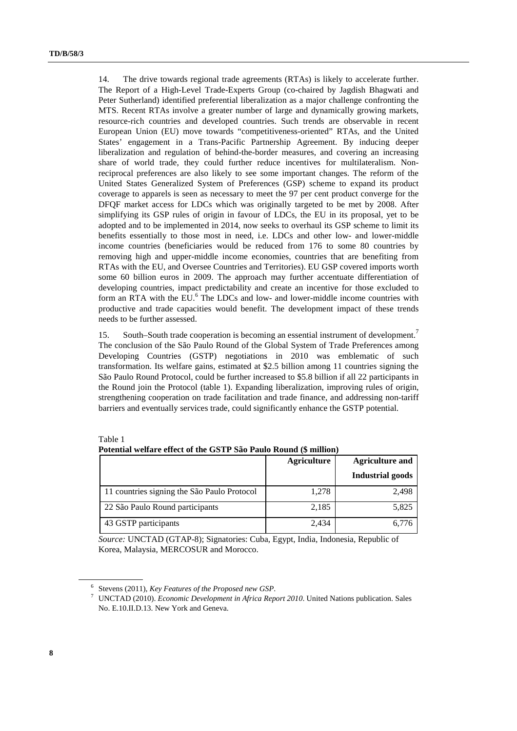14. The drive towards regional trade agreements (RTAs) is likely to accelerate further. The Report of a High-Level Trade-Experts Group (co-chaired by Jagdish Bhagwati and Peter Sutherland) identified preferential liberalization as a major challenge confronting the MTS. Recent RTAs involve a greater number of large and dynamically growing markets, resource-rich countries and developed countries. Such trends are observable in recent European Union (EU) move towards "competitiveness-oriented" RTAs, and the United States' engagement in a Trans-Pacific Partnership Agreement. By inducing deeper liberalization and regulation of behind-the-border measures, and covering an increasing share of world trade, they could further reduce incentives for multilateralism. Nonreciprocal preferences are also likely to see some important changes. The reform of the United States Generalized System of Preferences (GSP) scheme to expand its product coverage to apparels is seen as necessary to meet the 97 per cent product converge for the DFQF market access for LDCs which was originally targeted to be met by 2008. After simplifying its GSP rules of origin in favour of LDCs, the EU in its proposal, yet to be adopted and to be implemented in 2014, now seeks to overhaul its GSP scheme to limit its benefits essentially to those most in need, i.e. LDCs and other low- and lower-middle income countries (beneficiaries would be reduced from 176 to some 80 countries by removing high and upper-middle income economies, countries that are benefiting from RTAs with the EU, and Oversee Countries and Territories). EU GSP covered imports worth some 60 billion euros in 2009. The approach may further accentuate differentiation of developing countries, impact predictability and create an incentive for those excluded to form an RTA with the EU.<sup>6</sup> The LDCs and low- and lower-middle income countries with productive and trade capacities would benefit. The development impact of these trends needs to be further assessed.

15. South–South trade cooperation is becoming an essential instrument of development.<sup>7</sup> The conclusion of the São Paulo Round of the Global System of Trade Preferences among Developing Countries (GSTP) negotiations in 2010 was emblematic of such transformation. Its welfare gains, estimated at \$2.5 billion among 11 countries signing the São Paulo Round Protocol, could be further increased to \$5.8 billion if all 22 participants in the Round join the Protocol (table 1). Expanding liberalization, improving rules of origin, strengthening cooperation on trade facilitation and trade finance, and addressing non-tariff barriers and eventually services trade, could significantly enhance the GSTP potential.

| r otential wellare effect of the GSTT Sao Faulo Kound (5 minion) |                    |                        |  |  |
|------------------------------------------------------------------|--------------------|------------------------|--|--|
|                                                                  | <b>Agriculture</b> | <b>Agriculture and</b> |  |  |
|                                                                  |                    | Industrial goods       |  |  |
| 11 countries signing the São Paulo Protocol                      | 1,278              | 2,498                  |  |  |
| 22 São Paulo Round participants                                  | 2,185              | 5,825                  |  |  |
| 43 GSTP participants                                             | 2,434              | 6,776                  |  |  |

| Table 1                                                           |  |
|-------------------------------------------------------------------|--|
| Potential welfare effect of the GSTP São Paulo Round (\$ million) |  |

*Source:* UNCTAD (GTAP-8); Signatories: Cuba, Egypt, India, Indonesia, Republic of Korea, Malaysia, MERCOSUR and Morocco.

<sup>&</sup>lt;sup>6</sup> Stevens (2011), *Key Features of the Proposed new GSP*.<br><sup>7</sup> JINCTAD (2010), *Economic Development in Africa Bene* 

UNCTAD (2010). *Economic Development in Africa Report 2010*. United Nations publication. Sales No. E.10.II.D.13. New York and Geneva.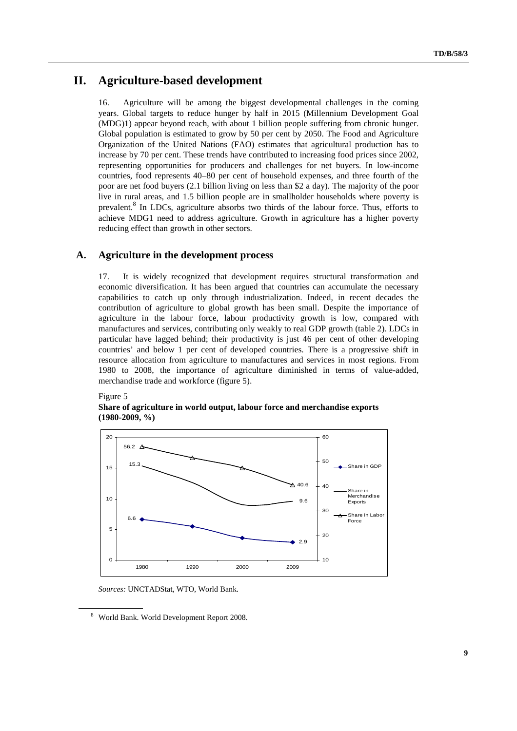# **II. Agriculture-based development**

16. Agriculture will be among the biggest developmental challenges in the coming years. Global targets to reduce hunger by half in 2015 (Millennium Development Goal (MDG)1) appear beyond reach, with about 1 billion people suffering from chronic hunger. Global population is estimated to grow by 50 per cent by 2050. The Food and Agriculture Organization of the United Nations (FAO) estimates that agricultural production has to increase by 70 per cent. These trends have contributed to increasing food prices since 2002, representing opportunities for producers and challenges for net buyers. In low-income countries, food represents 40–80 per cent of household expenses, and three fourth of the poor are net food buyers (2.1 billion living on less than \$2 a day). The majority of the poor live in rural areas, and 1.5 billion people are in smallholder households where poverty is prevalent.<sup>8</sup> In LDCs, agriculture absorbs two thirds of the labour force. Thus, efforts to achieve MDG1 need to address agriculture. Growth in agriculture has a higher poverty reducing effect than growth in other sectors.

# **A. Agriculture in the development process**

17. It is widely recognized that development requires structural transformation and economic diversification. It has been argued that countries can accumulate the necessary capabilities to catch up only through industrialization. Indeed, in recent decades the contribution of agriculture to global growth has been small. Despite the importance of agriculture in the labour force, labour productivity growth is low, compared with manufactures and services, contributing only weakly to real GDP growth (table 2). LDCs in particular have lagged behind; their productivity is just 46 per cent of other developing countries' and below 1 per cent of developed countries. There is a progressive shift in resource allocation from agriculture to manufactures and services in most regions. From 1980 to 2008, the importance of agriculture diminished in terms of value-added, merchandise trade and workforce (figure 5).

Figure 5

## **Share of agriculture in world output, labour force and merchandise exports (1980-2009, %)**



*Sources:* UNCTADStat, WTO, World Bank.

<sup>8</sup> World Bank. World Development Report 2008.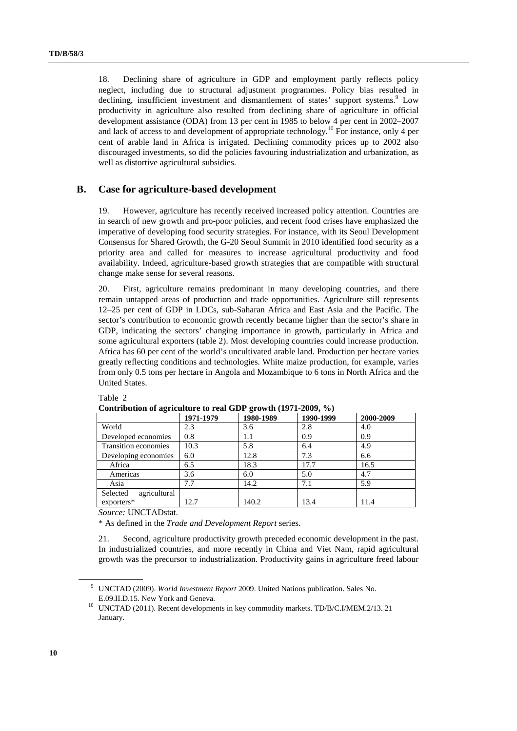18. Declining share of agriculture in GDP and employment partly reflects policy neglect, including due to structural adjustment programmes. Policy bias resulted in declining, insufficient investment and dismantlement of states' support systems.<sup>9</sup> Low productivity in agriculture also resulted from declining share of agriculture in official development assistance (ODA) from 13 per cent in 1985 to below 4 per cent in 2002–2007 and lack of access to and development of appropriate technology.<sup>10</sup> For instance, only 4 per cent of arable land in Africa is irrigated. Declining commodity prices up to 2002 also discouraged investments, so did the policies favouring industrialization and urbanization, as well as distortive agricultural subsidies.

# **B. Case for agriculture-based development**

19. However, agriculture has recently received increased policy attention. Countries are in search of new growth and pro-poor policies, and recent food crises have emphasized the imperative of developing food security strategies. For instance, with its Seoul Development Consensus for Shared Growth, the G-20 Seoul Summit in 2010 identified food security as a priority area and called for measures to increase agricultural productivity and food availability. Indeed, agriculture-based growth strategies that are compatible with structural change make sense for several reasons.

20. First, agriculture remains predominant in many developing countries, and there remain untapped areas of production and trade opportunities. Agriculture still represents 12–25 per cent of GDP in LDCs, sub-Saharan Africa and East Asia and the Pacific. The sector's contribution to economic growth recently became higher than the sector's share in GDP, indicating the sectors' changing importance in growth, particularly in Africa and some agricultural exporters (table 2). Most developing countries could increase production. Africa has 60 per cent of the world's uncultivated arable land. Production per hectare varies greatly reflecting conditions and technologies. White maize production, for example, varies from only 0.5 tons per hectare in Angola and Mozambique to 6 tons in North Africa and the United States.

| Contribution of agriculture to real ODT growth $(D/T-2002, 70)$ |           |           |           |           |
|-----------------------------------------------------------------|-----------|-----------|-----------|-----------|
|                                                                 | 1971-1979 | 1980-1989 | 1990-1999 | 2000-2009 |
| World                                                           | 2.3       | 3.6       | 2.8       | 4.0       |
| Developed economies                                             | 0.8       | 1.1       | 0.9       | 0.9       |
| Transition economies                                            | 10.3      | 5.8       | 6.4       | 4.9       |
| Developing economies                                            | 6.0       | 12.8      | 7.3       | 6.6       |
| Africa                                                          | 6.5       | 18.3      | 17.7      | 16.5      |
| Americas                                                        | 3.6       | 6.0       | 5.0       | 4.7       |
| Asia                                                            | 7.7       | 14.2      | 7.1       | 5.9       |
| agricultural<br>Selected                                        |           |           |           |           |
| $exporters*$                                                    | 12.7      | 140.2     | 13.4      | 11.4      |

Table 2

Contribution of agriculture to real GDP growth (1971-2009, %)

*Source:* UNCTADstat.

\* As defined in the *Trade and Development Report* series.

21. Second, agriculture productivity growth preceded economic development in the past. In industrialized countries, and more recently in China and Viet Nam, rapid agricultural growth was the precursor to industrialization. Productivity gains in agriculture freed labour

<sup>9</sup> UNCTAD (2009). *World Investment Report* 2009. United Nations publication. Sales No.

E.09.II.D.15. New York and Geneva.<br><sup>10</sup> UNCTAD (2011). Recent developments in key commodity markets. TD/B/C.I/MEM.2/13. 21 January.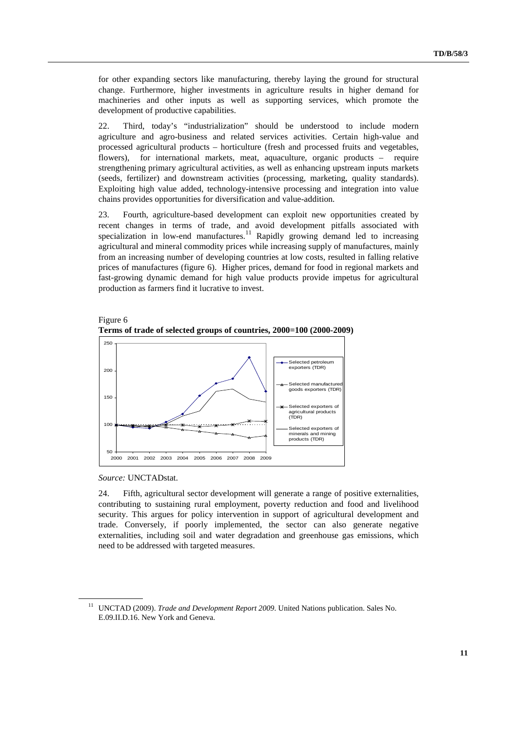for other expanding sectors like manufacturing, thereby laying the ground for structural change. Furthermore, higher investments in agriculture results in higher demand for machineries and other inputs as well as supporting services, which promote the development of productive capabilities.

22. Third, today's "industrialization" should be understood to include modern agriculture and agro-business and related services activities. Certain high-value and processed agricultural products – horticulture (fresh and processed fruits and vegetables, flowers), for international markets, meat, aquaculture, organic products – require strengthening primary agricultural activities, as well as enhancing upstream inputs markets (seeds, fertilizer) and downstream activities (processing, marketing, quality standards). Exploiting high value added, technology-intensive processing and integration into value chains provides opportunities for diversification and value-addition.

23. Fourth, agriculture-based development can exploit new opportunities created by recent changes in terms of trade, and avoid development pitfalls associated with specialization in low-end manufactures.<sup>11</sup> Rapidly growing demand led to increasing agricultural and mineral commodity prices while increasing supply of manufactures, mainly from an increasing number of developing countries at low costs, resulted in falling relative prices of manufactures (figure 6). Higher prices, demand for food in regional markets and fast-growing dynamic demand for high value products provide impetus for agricultural production as farmers find it lucrative to invest.





*Source:* UNCTADstat.

24. Fifth, agricultural sector development will generate a range of positive externalities, contributing to sustaining rural employment, poverty reduction and food and livelihood security. This argues for policy intervention in support of agricultural development and trade. Conversely, if poorly implemented, the sector can also generate negative externalities, including soil and water degradation and greenhouse gas emissions, which need to be addressed with targeted measures.

<sup>11</sup> UNCTAD (2009). *Trade and Development Report 2009*. United Nations publication. Sales No. E.09.II.D.16. New York and Geneva.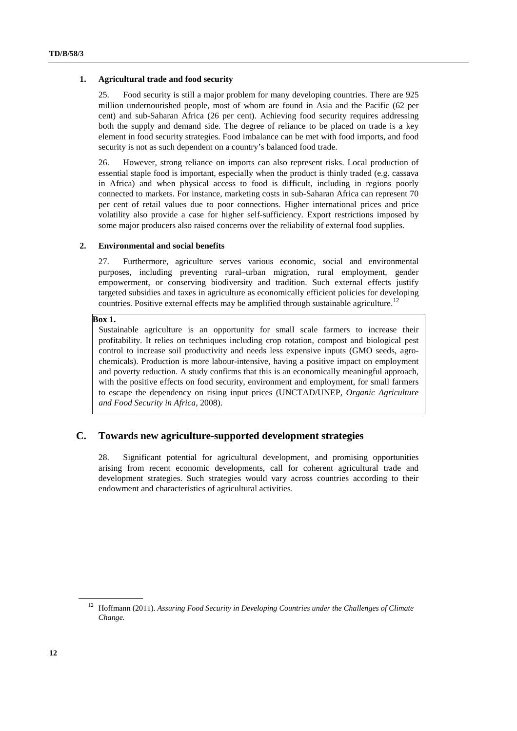#### **1. Agricultural trade and food security**

25. Food security is still a major problem for many developing countries. There are 925 million undernourished people, most of whom are found in Asia and the Pacific (62 per cent) and sub-Saharan Africa (26 per cent). Achieving food security requires addressing both the supply and demand side. The degree of reliance to be placed on trade is a key element in food security strategies. Food imbalance can be met with food imports, and food security is not as such dependent on a country's balanced food trade.

26. However, strong reliance on imports can also represent risks. Local production of essential staple food is important, especially when the product is thinly traded (e.g. cassava in Africa) and when physical access to food is difficult, including in regions poorly connected to markets. For instance, marketing costs in sub-Saharan Africa can represent 70 per cent of retail values due to poor connections. Higher international prices and price volatility also provide a case for higher self-sufficiency. Export restrictions imposed by some major producers also raised concerns over the reliability of external food supplies.

#### **2. Environmental and social benefits**

27. Furthermore, agriculture serves various economic, social and environmental purposes, including preventing rural–urban migration, rural employment, gender empowerment, or conserving biodiversity and tradition. Such external effects justify targeted subsidies and taxes in agriculture as economically efficient policies for developing countries. Positive external effects may be amplified through sustainable agriculture.<sup>12</sup>

## **Box 1.**

Sustainable agriculture is an opportunity for small scale farmers to increase their profitability. It relies on techniques including crop rotation, compost and biological pest control to increase soil productivity and needs less expensive inputs (GMO seeds, agrochemicals). Production is more labour-intensive, having a positive impact on employment and poverty reduction. A study confirms that this is an economically meaningful approach, with the positive effects on food security, environment and employment, for small farmers to escape the dependency on rising input prices (UNCTAD/UNEP, *Organic Agriculture and Food Security in Africa*, 2008).

# **C. Towards new agriculture-supported development strategies**

28. Significant potential for agricultural development, and promising opportunities arising from recent economic developments, call for coherent agricultural trade and development strategies. Such strategies would vary across countries according to their endowment and characteristics of agricultural activities.

<sup>&</sup>lt;sup>12</sup> Hoffmann (2011). Assuring Food Security in Developing Countries under the Challenges of Climate *Change.*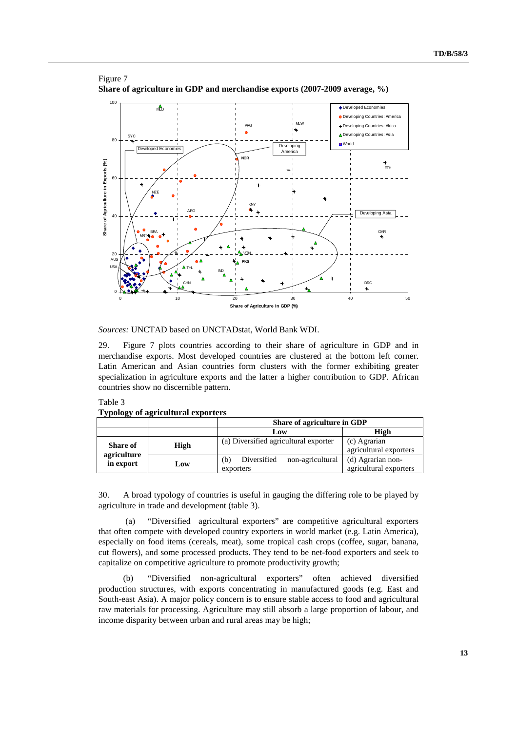

## Figure 7 **Share of agriculture in GDP and merchandise exports (2007-2009 average, %)**

*Sources:* UNCTAD based on UNCTADstat, World Bank WDI.

29. Figure 7 plots countries according to their share of agriculture in GDP and in merchandise exports. Most developed countries are clustered at the bottom left corner. Latin American and Asian countries form clusters with the former exhibiting greater specialization in agriculture exports and the latter a higher contribution to GDP. African countries show no discernible pattern.

## Table 3

|                                | $\Delta$ , polysty of agricultural exporters |                                                     |                                             |  |
|--------------------------------|----------------------------------------------|-----------------------------------------------------|---------------------------------------------|--|
|                                |                                              | Share of agriculture in GDP                         |                                             |  |
|                                |                                              | Low                                                 | High                                        |  |
| <b>Share of</b><br>agriculture | High                                         | (a) Diversified agricultural exporter               | (c) Agrarian<br>agricultural exporters      |  |
| in export                      | Low                                          | Diversified<br>non-agricultural<br>(b)<br>exporters | (d) Agrarian non-<br>agricultural exporters |  |

**Typology of agricultural exporters** 

30. A broad typology of countries is useful in gauging the differing role to be played by agriculture in trade and development (table 3).

(a) "Diversified agricultural exporters" are competitive agricultural exporters that often compete with developed country exporters in world market (e.g. Latin America), especially on food items (cereals, meat), some tropical cash crops (coffee, sugar, banana, cut flowers), and some processed products. They tend to be net-food exporters and seek to capitalize on competitive agriculture to promote productivity growth;

(b) "Diversified non-agricultural exporters" often achieved diversified production structures, with exports concentrating in manufactured goods (e.g. East and South-east Asia). A major policy concern is to ensure stable access to food and agricultural raw materials for processing. Agriculture may still absorb a large proportion of labour, and income disparity between urban and rural areas may be high;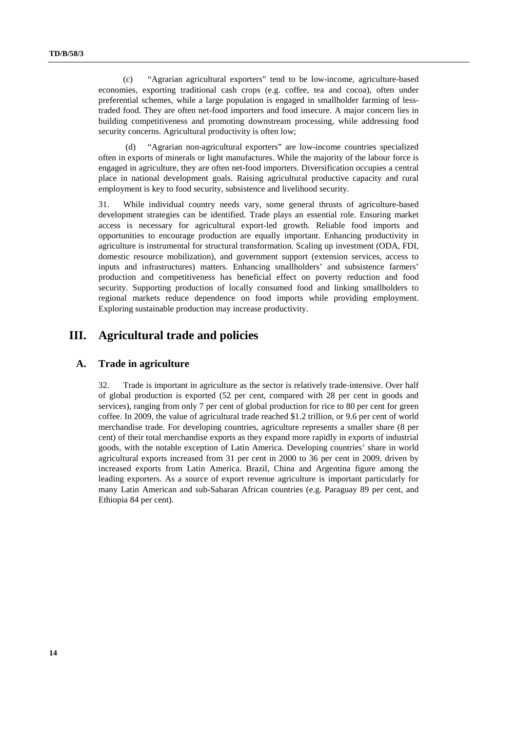(c) "Agrarian agricultural exporters" tend to be low-income, agriculture-based economies, exporting traditional cash crops (e.g. coffee, tea and cocoa), often under preferential schemes, while a large population is engaged in smallholder farming of lesstraded food. They are often net-food importers and food insecure. A major concern lies in building competitiveness and promoting downstream processing, while addressing food security concerns. Agricultural productivity is often low:

(d) "Agrarian non-agricultural exporters" are low-income countries specialized often in exports of minerals or light manufactures. While the majority of the labour force is engaged in agriculture, they are often net-food importers. Diversification occupies a central place in national development goals. Raising agricultural productive capacity and rural employment is key to food security, subsistence and livelihood security.

31. While individual country needs vary, some general thrusts of agriculture-based development strategies can be identified. Trade plays an essential role. Ensuring market access is necessary for agricultural export-led growth. Reliable food imports and opportunities to encourage production are equally important. Enhancing productivity in agriculture is instrumental for structural transformation. Scaling up investment (ODA, FDI, domestic resource mobilization), and government support (extension services, access to inputs and infrastructures) matters. Enhancing smallholders' and subsistence farmers' production and competitiveness has beneficial effect on poverty reduction and food security. Supporting production of locally consumed food and linking smallholders to regional markets reduce dependence on food imports while providing employment. Exploring sustainable production may increase productivity.

# **III. Agricultural trade and policies**

# **A. Trade in agriculture**

32. Trade is important in agriculture as the sector is relatively trade-intensive. Over half of global production is exported (52 per cent, compared with 28 per cent in goods and services), ranging from only 7 per cent of global production for rice to 80 per cent for green coffee. In 2009, the value of agricultural trade reached \$1.2 trillion, or 9.6 per cent of world merchandise trade. For developing countries, agriculture represents a smaller share (8 per cent) of their total merchandise exports as they expand more rapidly in exports of industrial goods, with the notable exception of Latin America. Developing countries' share in world agricultural exports increased from 31 per cent in 2000 to 36 per cent in 2009, driven by increased exports from Latin America. Brazil, China and Argentina figure among the leading exporters. As a source of export revenue agriculture is important particularly for many Latin American and sub-Saharan African countries (e.g. Paraguay 89 per cent, and Ethiopia 84 per cent).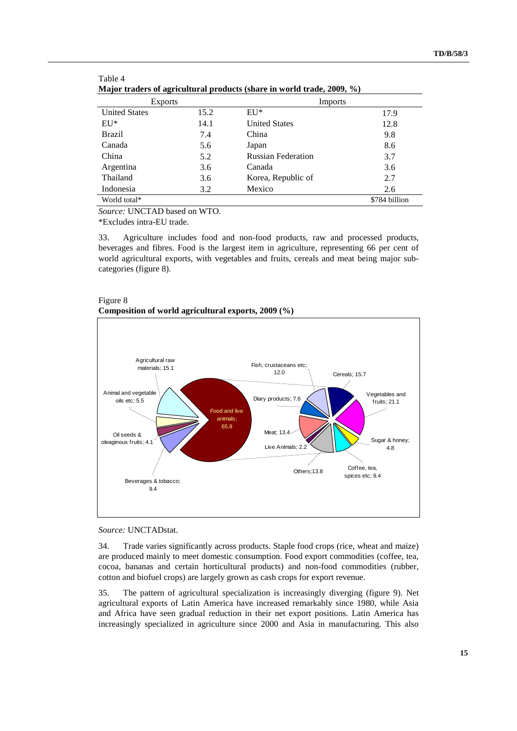| $m$ , $m$ , $m$ , $m$ , $m$ , $m$ , $m$ , $m$ , $m$ , $m$ , $m$ , $m$ , $m$ , $m$ , $m$ , $m$ , $m$ , $m$ , $m$ , $m$ , $m$ , $m$ , $m$ , $m$ , $m$ , $m$ , $m$ , $m$ , $m$ , $m$ , $m$ , $m$ , $m$ , $m$ , $m$ , $m$ , $m$ , |      |                           |               |
|-------------------------------------------------------------------------------------------------------------------------------------------------------------------------------------------------------------------------------|------|---------------------------|---------------|
| <b>Exports</b>                                                                                                                                                                                                                |      | Imports                   |               |
| <b>United States</b>                                                                                                                                                                                                          | 15.2 | $E U^*$                   | 17.9          |
| $E U^*$                                                                                                                                                                                                                       | 14.1 | <b>United States</b>      | 12.8          |
| <b>Brazil</b>                                                                                                                                                                                                                 | 7.4  | China                     | 9.8           |
| Canada                                                                                                                                                                                                                        | 5.6  | Japan                     | 8.6           |
| China                                                                                                                                                                                                                         | 5.2  | <b>Russian Federation</b> | 3.7           |
| Argentina                                                                                                                                                                                                                     | 3.6  | Canada                    | 3.6           |
| Thailand                                                                                                                                                                                                                      | 3.6  | Korea, Republic of        | 2.7           |
| Indonesia                                                                                                                                                                                                                     | 3.2  | Mexico                    | 2.6           |
| World total*                                                                                                                                                                                                                  |      |                           | \$784 billion |

| Table 4                                                                |  |  |
|------------------------------------------------------------------------|--|--|
| Major traders of agricultural products (share in world trade, 2009, %) |  |  |

*Source:* UNCTAD based on WTO.

\*Excludes intra-EU trade.

33. Agriculture includes food and non-food products, raw and processed products, beverages and fibres. Food is the largest item in agriculture, representing 66 per cent of world agricultural exports, with vegetables and fruits, cereals and meat being major subcategories (figure 8).





*Source:* UNCTADstat.

34. Trade varies significantly across products. Staple food crops (rice, wheat and maize) are produced mainly to meet domestic consumption. Food export commodities (coffee, tea, cocoa, bananas and certain horticultural products) and non-food commodities (rubber, cotton and biofuel crops) are largely grown as cash crops for export revenue.

35. The pattern of agricultural specialization is increasingly diverging (figure 9). Net agricultural exports of Latin America have increased remarkably since 1980, while Asia and Africa have seen gradual reduction in their net export positions. Latin America has increasingly specialized in agriculture since 2000 and Asia in manufacturing. This also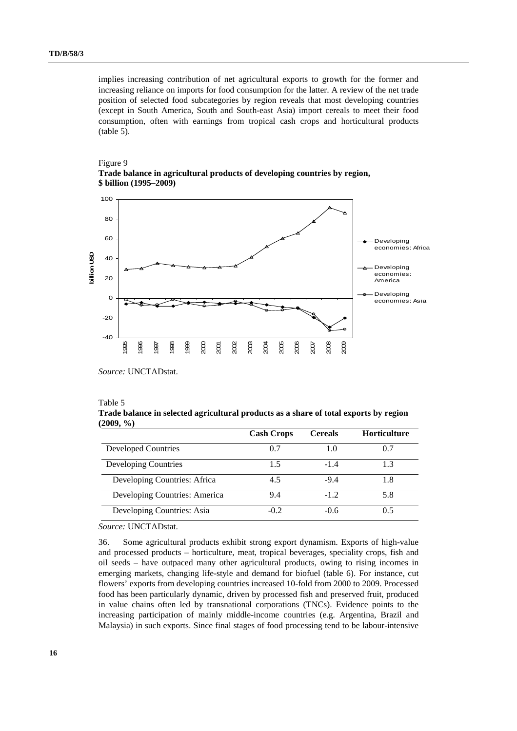implies increasing contribution of net agricultural exports to growth for the former and increasing reliance on imports for food consumption for the latter. A review of the net trade position of selected food subcategories by region reveals that most developing countries (except in South America, South and South-east Asia) import cereals to meet their food consumption, often with earnings from tropical cash crops and horticultural products (table 5).





*Source:* UNCTADstat.

#### Table 5

|           | Trade balance in selected agricultural products as a share of total exports by region |  |  |  |
|-----------|---------------------------------------------------------------------------------------|--|--|--|
| (2009, %) |                                                                                       |  |  |  |

|                               | <b>Cash Crops</b> | <b>Cereals</b> | <b>Horticulture</b> |
|-------------------------------|-------------------|----------------|---------------------|
| Developed Countries           | 0.7               | 1.0            | 0.7                 |
| Developing Countries          | 1.5               | $-1.4$         | 1.3                 |
| Developing Countries: Africa  | 4.5               | $-9.4$         | 1.8                 |
| Developing Countries: America | 9.4               | $-1.2$         | 5.8                 |
| Developing Countries: Asia    | $-0.2$            | $-0.6$         | ი 5                 |

*Source:* UNCTADstat.

36. Some agricultural products exhibit strong export dynamism. Exports of high-value and processed products – horticulture, meat, tropical beverages, speciality crops, fish and oil seeds – have outpaced many other agricultural products, owing to rising incomes in emerging markets, changing life-style and demand for biofuel (table 6). For instance, cut flowers' exports from developing countries increased 10-fold from 2000 to 2009. Processed food has been particularly dynamic, driven by processed fish and preserved fruit, produced in value chains often led by transnational corporations (TNCs). Evidence points to the increasing participation of mainly middle-income countries (e.g. Argentina, Brazil and Malaysia) in such exports. Since final stages of food processing tend to be labour-intensive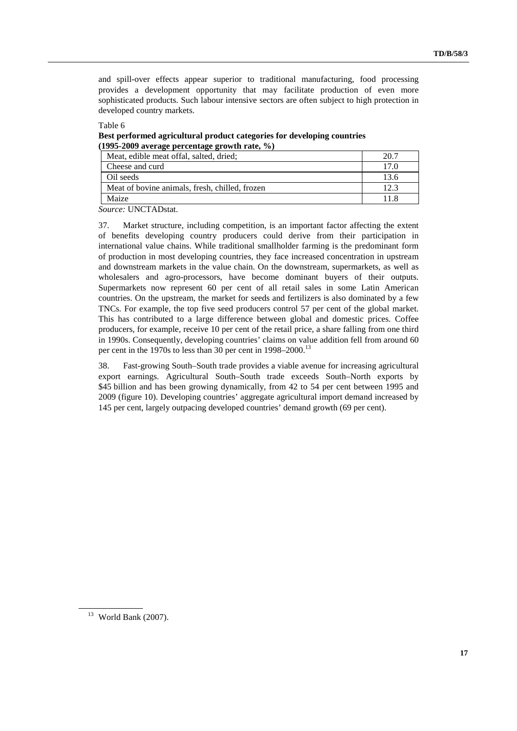and spill-over effects appear superior to traditional manufacturing, food processing provides a development opportunity that may facilitate production of even more sophisticated products. Such labour intensive sectors are often subject to high protection in developed country markets.

Table 6 **Best performed agricultural product categories for developing countries (1995-2009 average percentage growth rate, %)** 

| Meat, edible meat offal, salted, dried;        |      |
|------------------------------------------------|------|
| Cheese and curd                                | 17.0 |
| Oil seeds                                      | 13.6 |
| Meat of bovine animals, fresh, chilled, frozen | 12.3 |
| Maize                                          |      |

*Source:* UNCTADstat.

37. Market structure, including competition, is an important factor affecting the extent of benefits developing country producers could derive from their participation in international value chains. While traditional smallholder farming is the predominant form of production in most developing countries, they face increased concentration in upstream and downstream markets in the value chain. On the downstream, supermarkets, as well as wholesalers and agro-processors, have become dominant buyers of their outputs. Supermarkets now represent 60 per cent of all retail sales in some Latin American countries. On the upstream, the market for seeds and fertilizers is also dominated by a few TNCs. For example, the top five seed producers control 57 per cent of the global market. This has contributed to a large difference between global and domestic prices. Coffee producers, for example, receive 10 per cent of the retail price, a share falling from one third in 1990s. Consequently, developing countries' claims on value addition fell from around 60 per cent in the 1970s to less than 30 per cent in 1998–2000.<sup>13</sup>

38. Fast-growing South–South trade provides a viable avenue for increasing agricultural export earnings. Agricultural South–South trade exceeds South–North exports by \$45 billion and has been growing dynamically, from 42 to 54 per cent between 1995 and 2009 (figure 10). Developing countries' aggregate agricultural import demand increased by 145 per cent, largely outpacing developed countries' demand growth (69 per cent).

 $13$  World Bank (2007).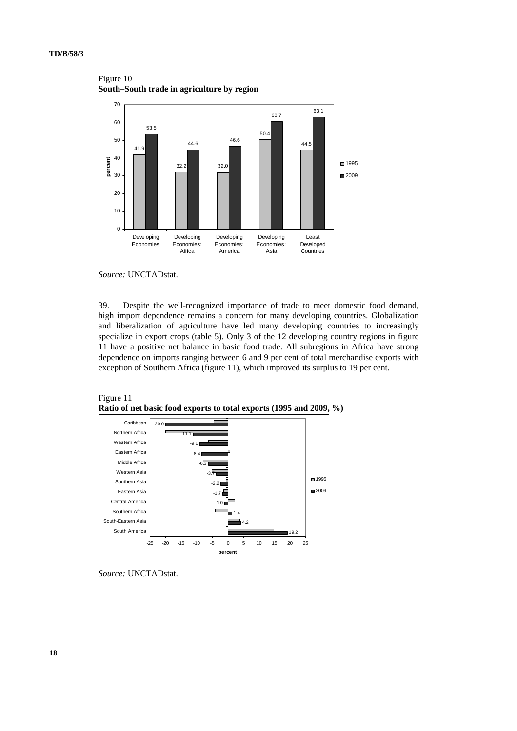

Figure 10 **South–South trade in agriculture by region** 

39. Despite the well-recognized importance of trade to meet domestic food demand, high import dependence remains a concern for many developing countries. Globalization and liberalization of agriculture have led many developing countries to increasingly specialize in export crops (table 5). Only 3 of the 12 developing country regions in figure 11 have a positive net balance in basic food trade. All subregions in Africa have strong dependence on imports ranging between 6 and 9 per cent of total merchandise exports with exception of Southern Africa (figure 11), which improved its surplus to 19 per cent.





*Source:* UNCTADstat.

*Source:* UNCTADstat.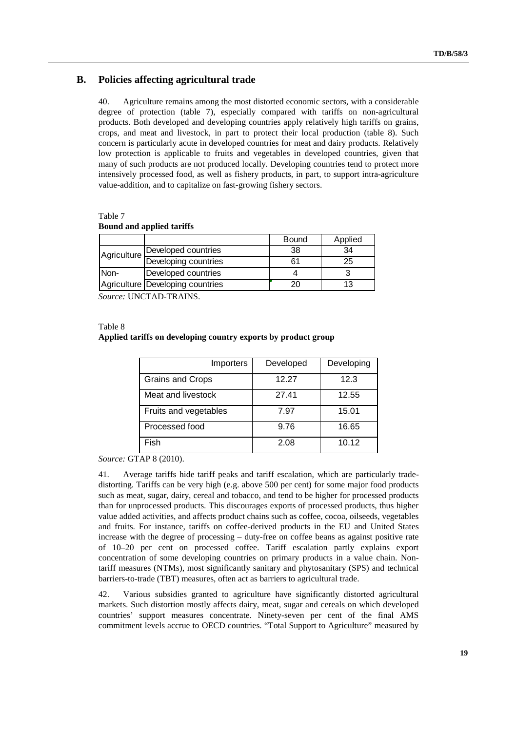# **B. Policies affecting agricultural trade**

40. Agriculture remains among the most distorted economic sectors, with a considerable degree of protection (table 7), especially compared with tariffs on non-agricultural products. Both developed and developing countries apply relatively high tariffs on grains, crops, and meat and livestock, in part to protect their local production (table 8). Such concern is particularly acute in developed countries for meat and dairy products. Relatively low protection is applicable to fruits and vegetables in developed countries, given that many of such products are not produced locally. Developing countries tend to protect more intensively processed food, as well as fishery products, in part, to support intra-agriculture value-addition, and to capitalize on fast-growing fishery sectors.

Table 7 **Bound and applied tariffs** 

|             |                                  | Bound | Applied |
|-------------|----------------------------------|-------|---------|
| Agriculture | Developed countries              | 38    | 34      |
|             | Developing countries             |       | 25      |
| Non-        | Developed countries              |       |         |
|             | Agriculture Developing countries |       | 13      |

*Source:* UNCTAD-TRAINS.

Table 8

#### **Applied tariffs on developing country exports by product group**

| Importers               | Developed | Developing |
|-------------------------|-----------|------------|
| <b>Grains and Crops</b> | 12.27     | 12.3       |
| Meat and livestock      | 27.41     | 12.55      |
| Fruits and vegetables   | 7.97      | 15.01      |
| Processed food          | 9.76      | 16.65      |
| Fish                    | 2.08      | 10.12      |

*Source:* GTAP 8 (2010).

41. Average tariffs hide tariff peaks and tariff escalation, which are particularly tradedistorting. Tariffs can be very high (e.g. above 500 per cent) for some major food products such as meat, sugar, dairy, cereal and tobacco, and tend to be higher for processed products than for unprocessed products. This discourages exports of processed products, thus higher value added activities, and affects product chains such as coffee, cocoa, oilseeds, vegetables and fruits. For instance, tariffs on coffee-derived products in the EU and United States increase with the degree of processing – duty-free on coffee beans as against positive rate of 10–20 per cent on processed coffee. Tariff escalation partly explains export concentration of some developing countries on primary products in a value chain. Nontariff measures (NTMs), most significantly sanitary and phytosanitary (SPS) and technical barriers-to-trade (TBT) measures, often act as barriers to agricultural trade.

42. Various subsidies granted to agriculture have significantly distorted agricultural markets. Such distortion mostly affects dairy, meat, sugar and cereals on which developed countries' support measures concentrate. Ninety-seven per cent of the final AMS commitment levels accrue to OECD countries. "Total Support to Agriculture" measured by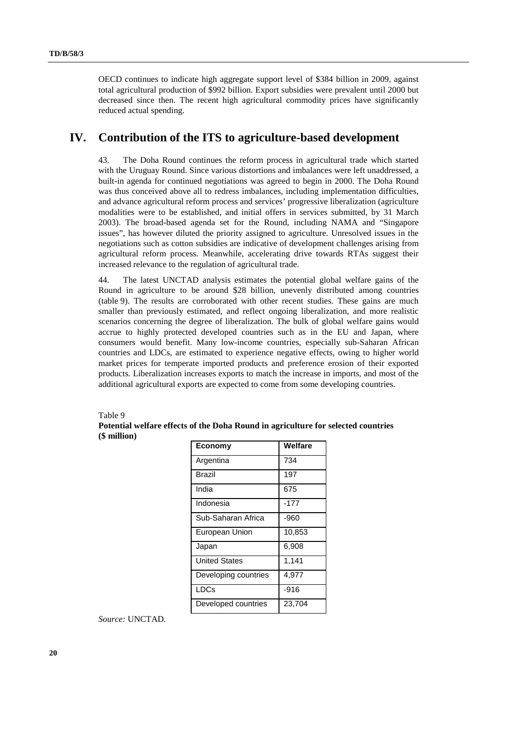OECD continues to indicate high aggregate support level of \$384 billion in 2009, against total agricultural production of \$992 billion. Export subsidies were prevalent until 2000 but decreased since then. The recent high agricultural commodity prices have significantly reduced actual spending.

# **IV. Contribution of the ITS to agriculture-based development**

43. The Doha Round continues the reform process in agricultural trade which started with the Uruguay Round. Since various distortions and imbalances were left unaddressed, a built-in agenda for continued negotiations was agreed to begin in 2000. The Doha Round was thus conceived above all to redress imbalances, including implementation difficulties, and advance agricultural reform process and services' progressive liberalization (agriculture modalities were to be established, and initial offers in services submitted, by 31 March 2003). The broad-based agenda set for the Round, including NAMA and "Singapore issues", has however diluted the priority assigned to agriculture. Unresolved issues in the negotiations such as cotton subsidies are indicative of development challenges arising from agricultural reform process. Meanwhile, accelerating drive towards RTAs suggest their increased relevance to the regulation of agricultural trade.

44. The latest UNCTAD analysis estimates the potential global welfare gains of the Round in agriculture to be around \$28 billion, unevenly distributed among countries (table 9). The results are corroborated with other recent studies. These gains are much smaller than previously estimated, and reflect ongoing liberalization, and more realistic scenarios concerning the degree of liberalization. The bulk of global welfare gains would accrue to highly protected developed countries such as in the EU and Japan, where consumers would benefit. Many low-income countries, especially sub-Saharan African countries and LDCs, are estimated to experience negative effects, owing to higher world market prices for temperate imported products and preference erosion of their exported products*.* Liberalization increases exports to match the increase in imports, and most of the additional agricultural exports are expected to come from some developing countries.

### Table 9

**Potential welfare effects of the Doha Round in agriculture for selected countries (\$ million)** 

| <b>Economy</b>       | Welfare |
|----------------------|---------|
| Argentina            | 734     |
| <b>Brazil</b>        | 197     |
| India                | 675     |
| Indonesia            | $-177$  |
| Sub-Saharan Africa   | -960    |
| European Union       | 10,853  |
| Japan                | 6,908   |
| <b>United States</b> | 1,141   |
| Developing countries | 4,977   |
| LDCs                 | $-916$  |
| Developed countries  | 23,704  |

*Source:* UNCTAD.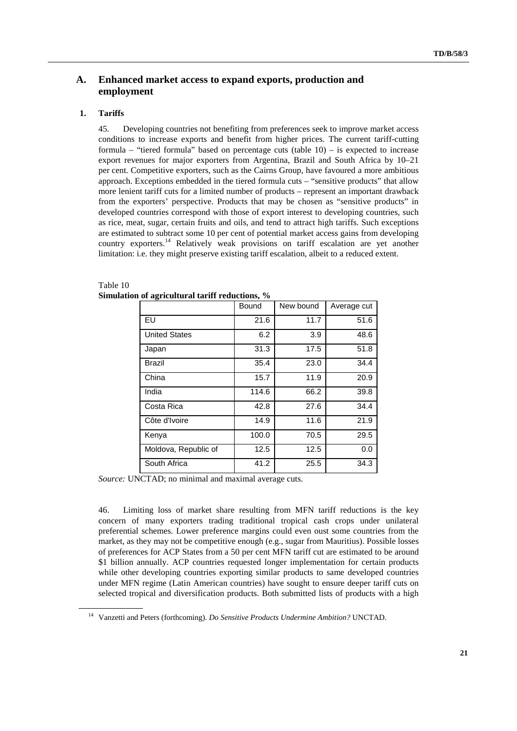# **A. Enhanced market access to expand exports, production and employment**

# **1. Tariffs**

45. Developing countries not benefiting from preferences seek to improve market access conditions to increase exports and benefit from higher prices. The current tariff-cutting formula – "tiered formula" based on percentage cuts (table  $10$ ) – is expected to increase export revenues for major exporters from Argentina, Brazil and South Africa by 10–21 per cent. Competitive exporters, such as the Cairns Group, have favoured a more ambitious approach. Exceptions embedded in the tiered formula cuts – "sensitive products" that allow more lenient tariff cuts for a limited number of products – represent an important drawback from the exporters' perspective. Products that may be chosen as "sensitive products" in developed countries correspond with those of export interest to developing countries, such as rice, meat, sugar, certain fruits and oils, and tend to attract high tariffs. Such exceptions are estimated to subtract some 10 per cent of potential market access gains from developing country exporters.14 Relatively weak provisions on tariff escalation are yet another limitation: i.e. they might preserve existing tariff escalation, albeit to a reduced extent.

|                      | Bound | New bound | Average cut |
|----------------------|-------|-----------|-------------|
| EU                   | 21.6  | 11.7      | 51.6        |
| <b>United States</b> | 6.2   | 3.9       | 48.6        |
| Japan                | 31.3  | 17.5      | 51.8        |
| <b>Brazil</b>        | 35.4  | 23.0      | 34.4        |
| China                | 15.7  | 11.9      | 20.9        |
| India                | 114.6 | 66.2      | 39.8        |
| Costa Rica           | 42.8  | 27.6      | 34.4        |
| Côte d'Ivoire        | 14.9  | 11.6      | 21.9        |
| Kenya                | 100.0 | 70.5      | 29.5        |
| Moldova, Republic of | 12.5  | 12.5      | 0.0         |
| South Africa         | 41.2  | 25.5      | 34.3        |

### Table 10 **Simulation of agricultural tariff reductions, %**

*Source:* UNCTAD; no minimal and maximal average cuts.

46. Limiting loss of market share resulting from MFN tariff reductions is the key concern of many exporters trading traditional tropical cash crops under unilateral preferential schemes. Lower preference margins could even oust some countries from the market, as they may not be competitive enough (e.g., sugar from Mauritius). Possible losses of preferences for ACP States from a 50 per cent MFN tariff cut are estimated to be around \$1 billion annually. ACP countries requested longer implementation for certain products while other developing countries exporting similar products to same developed countries under MFN regime (Latin American countries) have sought to ensure deeper tariff cuts on selected tropical and diversification products. Both submitted lists of products with a high

<sup>14</sup> Vanzetti and Peters (forthcoming). *Do Sensitive Products Undermine Ambition?* UNCTAD.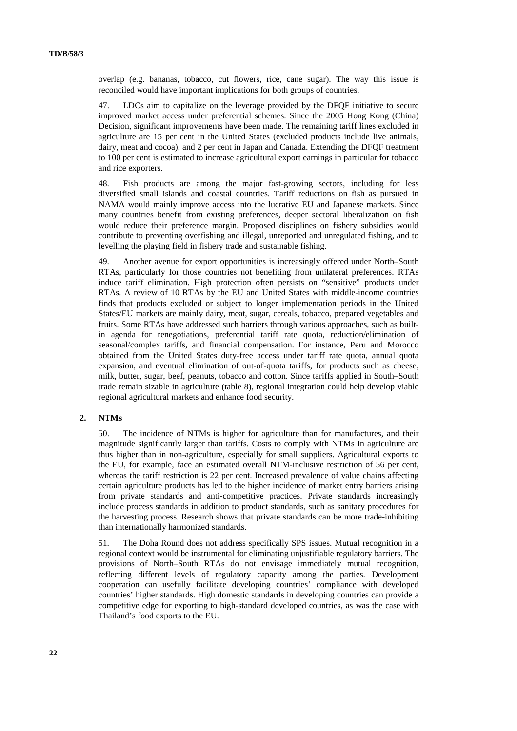overlap (e.g. bananas, tobacco, cut flowers, rice, cane sugar). The way this issue is reconciled would have important implications for both groups of countries.

47. LDCs aim to capitalize on the leverage provided by the DFQF initiative to secure improved market access under preferential schemes. Since the 2005 Hong Kong (China) Decision, significant improvements have been made. The remaining tariff lines excluded in agriculture are 15 per cent in the United States (excluded products include live animals, dairy, meat and cocoa), and 2 per cent in Japan and Canada. Extending the DFQF treatment to 100 per cent is estimated to increase agricultural export earnings in particular for tobacco and rice exporters.

48. Fish products are among the major fast-growing sectors, including for less diversified small islands and coastal countries. Tariff reductions on fish as pursued in NAMA would mainly improve access into the lucrative EU and Japanese markets. Since many countries benefit from existing preferences, deeper sectoral liberalization on fish would reduce their preference margin. Proposed disciplines on fishery subsidies would contribute to preventing overfishing and illegal, unreported and unregulated fishing, and to levelling the playing field in fishery trade and sustainable fishing.

49. Another avenue for export opportunities is increasingly offered under North–South RTAs, particularly for those countries not benefiting from unilateral preferences. RTAs induce tariff elimination. High protection often persists on "sensitive" products under RTAs. A review of 10 RTAs by the EU and United States with middle-income countries finds that products excluded or subject to longer implementation periods in the United States/EU markets are mainly dairy, meat, sugar, cereals, tobacco, prepared vegetables and fruits. Some RTAs have addressed such barriers through various approaches, such as builtin agenda for renegotiations, preferential tariff rate quota, reduction/elimination of seasonal/complex tariffs, and financial compensation. For instance, Peru and Morocco obtained from the United States duty-free access under tariff rate quota, annual quota expansion, and eventual elimination of out-of-quota tariffs, for products such as cheese, milk, butter, sugar, beef, peanuts, tobacco and cotton. Since tariffs applied in South–South trade remain sizable in agriculture (table 8), regional integration could help develop viable regional agricultural markets and enhance food security.

## **2. NTMs**

50. The incidence of NTMs is higher for agriculture than for manufactures, and their magnitude significantly larger than tariffs. Costs to comply with NTMs in agriculture are thus higher than in non-agriculture, especially for small suppliers. Agricultural exports to the EU, for example, face an estimated overall NTM-inclusive restriction of 56 per cent, whereas the tariff restriction is 22 per cent. Increased prevalence of value chains affecting certain agriculture products has led to the higher incidence of market entry barriers arising from private standards and anti-competitive practices. Private standards increasingly include process standards in addition to product standards, such as sanitary procedures for the harvesting process. Research shows that private standards can be more trade-inhibiting than internationally harmonized standards.

51. The Doha Round does not address specifically SPS issues. Mutual recognition in a regional context would be instrumental for eliminating unjustifiable regulatory barriers. The provisions of North–South RTAs do not envisage immediately mutual recognition, reflecting different levels of regulatory capacity among the parties. Development cooperation can usefully facilitate developing countries' compliance with developed countries' higher standards. High domestic standards in developing countries can provide a competitive edge for exporting to high-standard developed countries, as was the case with Thailand's food exports to the EU.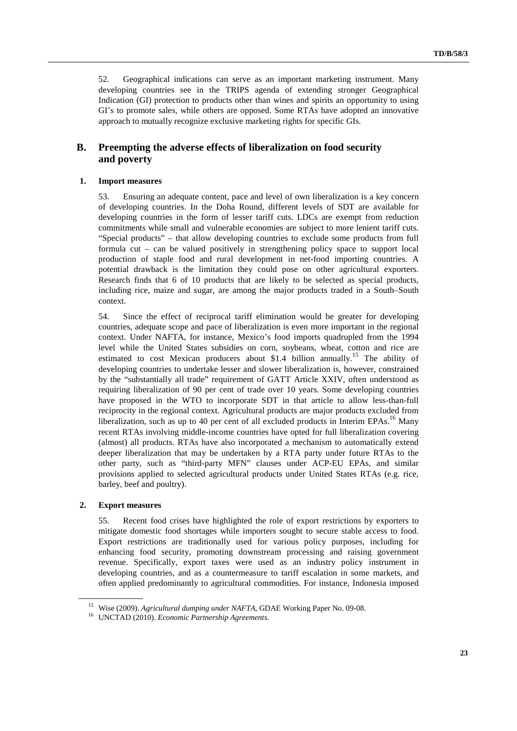52. Geographical indications can serve as an important marketing instrument. Many developing countries see in the TRIPS agenda of extending stronger Geographical Indication (GI) protection to products other than wines and spirits an opportunity to using GI's to promote sales, while others are opposed. Some RTAs have adopted an innovative approach to mutually recognize exclusive marketing rights for specific GIs.

# **B. Preempting the adverse effects of liberalization on food security and poverty**

#### **1. Import measures**

53. Ensuring an adequate content, pace and level of own liberalization is a key concern of developing countries. In the Doha Round, different levels of SDT are available for developing countries in the form of lesser tariff cuts. LDCs are exempt from reduction commitments while small and vulnerable economies are subject to more lenient tariff cuts. "Special products" – that allow developing countries to exclude some products from full formula cut – can be valued positively in strengthening policy space to support local production of staple food and rural development in net-food importing countries. A potential drawback is the limitation they could pose on other agricultural exporters. Research finds that 6 of 10 products that are likely to be selected as special products, including rice, maize and sugar, are among the major products traded in a South–South context.

54. Since the effect of reciprocal tariff elimination would be greater for developing countries, adequate scope and pace of liberalization is even more important in the regional context. Under NAFTA, for instance, Mexico's food imports quadrupled from the 1994 level while the United States subsidies on corn, soybeans, wheat, cotton and rice are estimated to cost Mexican producers about \$1.4 billion annually.<sup>15</sup> The ability of developing countries to undertake lesser and slower liberalization is, however, constrained by the "substantially all trade" requirement of GATT Article XXIV, often understood as requiring liberalization of 90 per cent of trade over 10 years. Some developing countries have proposed in the WTO to incorporate SDT in that article to allow less-than-full reciprocity in the regional context. Agricultural products are major products excluded from liberalization, such as up to 40 per cent of all excluded products in Interim EPAs.<sup>16</sup> Many recent RTAs involving middle-income countries have opted for full liberalization covering (almost) all products. RTAs have also incorporated a mechanism to automatically extend deeper liberalization that may be undertaken by a RTA party under future RTAs to the other party, such as "third-party MFN" clauses under ACP-EU EPAs, and similar provisions applied to selected agricultural products under United States RTAs (e.g. rice, barley, beef and poultry).

#### **2. Export measures**

55. Recent food crises have highlighted the role of export restrictions by exporters to mitigate domestic food shortages while importers sought to secure stable access to food. Export restrictions are traditionally used for various policy purposes, including for enhancing food security, promoting downstream processing and raising government revenue. Specifically, export taxes were used as an industry policy instrument in developing countries, and as a countermeasure to tariff escalation in some markets, and often applied predominantly to agricultural commodities. For instance, Indonesia imposed

<sup>15</sup> Wise (2009). *Agricultural dumping under NAFTA,* GDAE Working Paper No. 09-08. 16 UNCTAD (2010). *Economic Partnership Agreements*.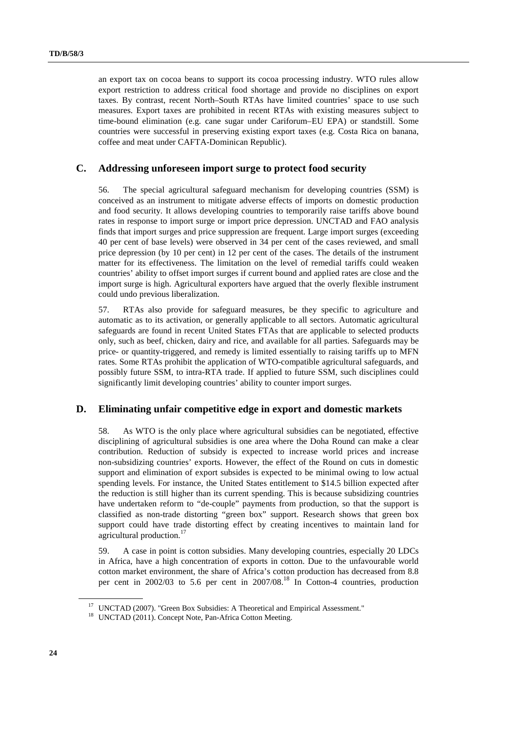an export tax on cocoa beans to support its cocoa processing industry. WTO rules allow export restriction to address critical food shortage and provide no disciplines on export taxes. By contrast, recent North–South RTAs have limited countries' space to use such measures. Export taxes are prohibited in recent RTAs with existing measures subject to time-bound elimination (e.g. cane sugar under Cariforum–EU EPA) or standstill. Some countries were successful in preserving existing export taxes (e.g. Costa Rica on banana, coffee and meat under CAFTA-Dominican Republic).

# **C. Addressing unforeseen import surge to protect food security**

56. The special agricultural safeguard mechanism for developing countries (SSM) is conceived as an instrument to mitigate adverse effects of imports on domestic production and food security. It allows developing countries to temporarily raise tariffs above bound rates in response to import surge or import price depression. UNCTAD and FAO analysis finds that import surges and price suppression are frequent. Large import surges (exceeding 40 per cent of base levels) were observed in 34 per cent of the cases reviewed, and small price depression (by 10 per cent) in 12 per cent of the cases. The details of the instrument matter for its effectiveness. The limitation on the level of remedial tariffs could weaken countries' ability to offset import surges if current bound and applied rates are close and the import surge is high. Agricultural exporters have argued that the overly flexible instrument could undo previous liberalization.

57. RTAs also provide for safeguard measures, be they specific to agriculture and automatic as to its activation, or generally applicable to all sectors. Automatic agricultural safeguards are found in recent United States FTAs that are applicable to selected products only, such as beef, chicken, dairy and rice, and available for all parties. Safeguards may be price- or quantity-triggered, and remedy is limited essentially to raising tariffs up to MFN rates. Some RTAs prohibit the application of WTO-compatible agricultural safeguards, and possibly future SSM, to intra-RTA trade. If applied to future SSM, such disciplines could significantly limit developing countries' ability to counter import surges.

## **D. Eliminating unfair competitive edge in export and domestic markets**

58. As WTO is the only place where agricultural subsidies can be negotiated, effective disciplining of agricultural subsidies is one area where the Doha Round can make a clear contribution. Reduction of subsidy is expected to increase world prices and increase non-subsidizing countries' exports. However, the effect of the Round on cuts in domestic support and elimination of export subsides is expected to be minimal owing to low actual spending levels. For instance, the United States entitlement to \$14.5 billion expected after the reduction is still higher than its current spending. This is because subsidizing countries have undertaken reform to "de-couple" payments from production, so that the support is classified as non-trade distorting "green box" support. Research shows that green box support could have trade distorting effect by creating incentives to maintain land for agricultural production.<sup>17</sup>

59. A case in point is cotton subsidies. Many developing countries, especially 20 LDCs in Africa, have a high concentration of exports in cotton. Due to the unfavourable world cotton market environment, the share of Africa's cotton production has decreased from 8.8 per cent in 2002/03 to 5.6 per cent in 2007/08.18 In Cotton-4 countries, production

<sup>&</sup>lt;sup>17</sup> UNCTAD (2007). "Green Box Subsidies: A Theoretical and Empirical Assessment."

<sup>&</sup>lt;sup>18</sup> UNCTAD (2011). Concept Note, Pan-Africa Cotton Meeting.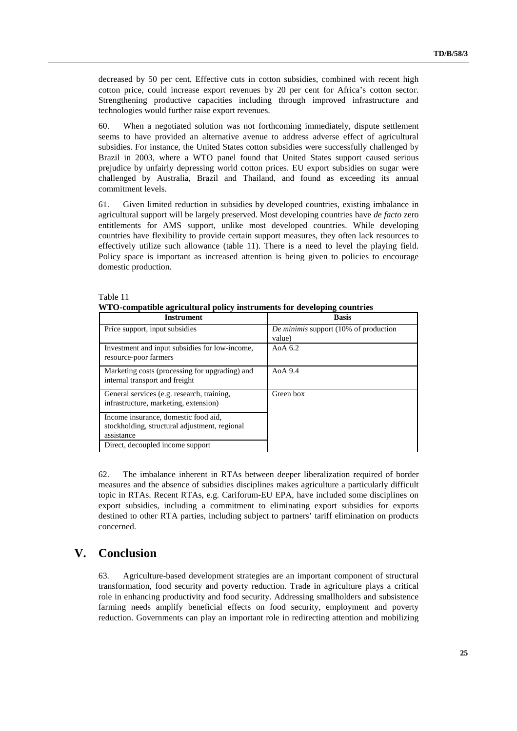decreased by 50 per cent. Effective cuts in cotton subsidies, combined with recent high cotton price, could increase export revenues by 20 per cent for Africa's cotton sector. Strengthening productive capacities including through improved infrastructure and technologies would further raise export revenues.

60. When a negotiated solution was not forthcoming immediately, dispute settlement seems to have provided an alternative avenue to address adverse effect of agricultural subsidies. For instance, the United States cotton subsidies were successfully challenged by Brazil in 2003, where a WTO panel found that United States support caused serious prejudice by unfairly depressing world cotton prices. EU export subsidies on sugar were challenged by Australia, Brazil and Thailand, and found as exceeding its annual commitment levels.

61. Given limited reduction in subsidies by developed countries, existing imbalance in agricultural support will be largely preserved. Most developing countries have *de facto* zero entitlements for AMS support, unlike most developed countries. While developing countries have flexibility to provide certain support measures, they often lack resources to effectively utilize such allowance (table 11). There is a need to level the playing field. Policy space is important as increased attention is being given to policies to encourage domestic production.

| <b>Instrument</b>                                                                                   | <b>Basis</b>                                    |
|-----------------------------------------------------------------------------------------------------|-------------------------------------------------|
| Price support, input subsidies                                                                      | De minimis support (10% of production<br>value) |
| Investment and input subsidies for low-income,<br>resource-poor farmers                             | Ao $\alpha$ 6.2                                 |
| Marketing costs (processing for upgrading) and<br>internal transport and freight                    | Ao $\alpha$ 9.4                                 |
| General services (e.g. research, training,<br>infrastructure, marketing, extension)                 | Green box                                       |
| Income insurance, domestic food aid,<br>stockholding, structural adjustment, regional<br>assistance |                                                 |
| Direct, decoupled income support                                                                    |                                                 |

## Table 11 **WTO-compatible agricultural policy instruments for developing countries**

62. The imbalance inherent in RTAs between deeper liberalization required of border measures and the absence of subsidies disciplines makes agriculture a particularly difficult topic in RTAs. Recent RTAs, e.g. Cariforum-EU EPA, have included some disciplines on export subsidies, including a commitment to eliminating export subsidies for exports destined to other RTA parties, including subject to partners' tariff elimination on products concerned.

# **V. Conclusion**

63. Agriculture-based development strategies are an important component of structural transformation, food security and poverty reduction. Trade in agriculture plays a critical role in enhancing productivity and food security. Addressing smallholders and subsistence farming needs amplify beneficial effects on food security, employment and poverty reduction. Governments can play an important role in redirecting attention and mobilizing